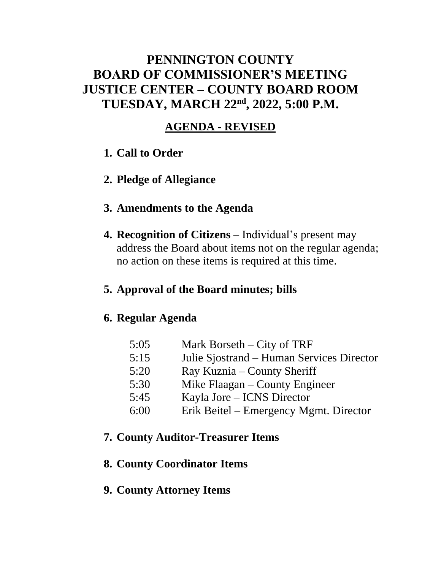## **PENNINGTON COUNTY BOARD OF COMMISSIONER'S MEETING JUSTICE CENTER – COUNTY BOARD ROOM TUESDAY, MARCH 22nd , 2022, 5:00 P.M.**

### **AGENDA - REVISED**

- **1. Call to Order**
- **2. Pledge of Allegiance**

### **3. Amendments to the Agenda**

**4. Recognition of Citizens** – Individual's present may address the Board about items not on the regular agenda; no action on these items is required at this time.

### **5. Approval of the Board minutes; bills**

### **6. Regular Agenda**

| 5:05 | Mark Borseth $-$ City of TRF              |
|------|-------------------------------------------|
| 5:15 | Julie Sjostrand – Human Services Director |
| 5:20 | Ray Kuznia – County Sheriff               |

- 5:30 Mike Flaagan County Engineer
- 5:45 Kayla Jore ICNS Director
- 6:00 Erik Beitel Emergency Mgmt. Director

### **7. County Auditor-Treasurer Items**

### **8. County Coordinator Items**

### **9. County Attorney Items**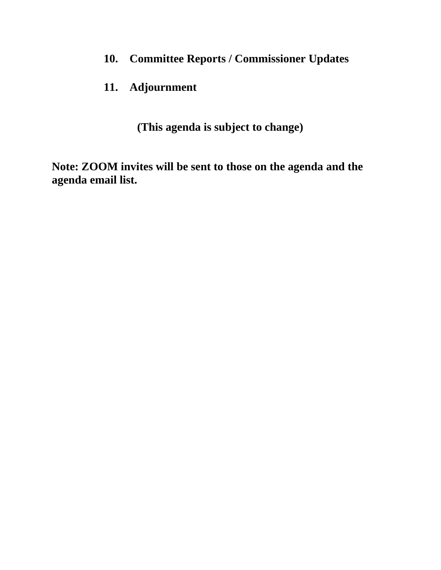**10. Committee Reports / Commissioner Updates**

### **11. Adjournment**

**(This agenda is subject to change)**

**Note: ZOOM invites will be sent to those on the agenda and the agenda email list.**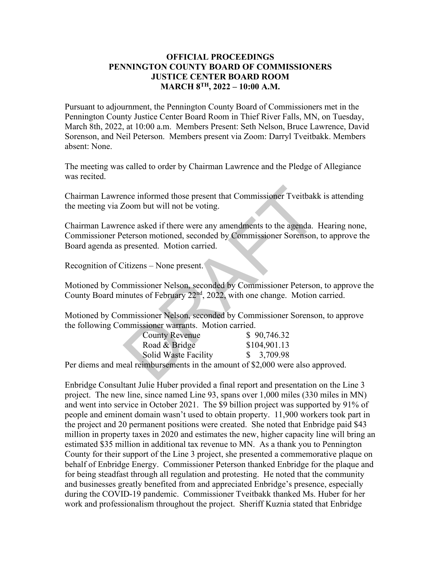#### **OFFICIAL PROCEEDINGS PENNINGTON COUNTY BOARD OF COMMISSIONERS JUSTICE CENTER BOARD ROOM MARCH 8TH, 2022 – 10:00 A.M.**

Pursuant to adjournment, the Pennington County Board of Commissioners met in the Pennington County Justice Center Board Room in Thief River Falls, MN, on Tuesday, March 8th, 2022, at 10:00 a.m. Members Present: Seth Nelson, Bruce Lawrence, David Sorenson, and Neil Peterson. Members present via Zoom: Darryl Tveitbakk. Members absent: None.

The meeting was called to order by Chairman Lawrence and the Pledge of Allegiance was recited.

Chairman Lawrence informed those present that Commissioner Tveitbakk is attending the meeting via Zoom but will not be voting.

Chairman Lawrence asked if there were any amendments to the agenda. Hearing none, Commissioner Peterson motioned, seconded by Commissioner Sorenson, to approve the Board agenda as presented. Motion carried. nce informed those present that Commissioner Tveitbakk<br>
Zoom but will not be voting.<br>
nce asked if there were any amendments to the agenda. I<br>
deterson motioned, seconded by Commissioner Sorenson,<br>
presented. Motion carrie

Recognition of Citizens – None present.

Motioned by Commissioner Nelson, seconded by Commissioner Peterson, to approve the County Board minutes of February 22<sup>nd</sup>, 2022, with one change. Motion carried.

Motioned by Commissioner Nelson, seconded by Commissioner Sorenson, to approve the following Commissioner warrants. Motion carried.

| <b>County Revenue</b> | \$90,746.32                        |
|-----------------------|------------------------------------|
| Road & Bridge         | \$104,901.13                       |
| Solid Waste Facility  | \$3,709.98                         |
|                       | $\sim$ $\sim$ $\sim$ $\sim$ $\sim$ |

Per diems and meal reimbursements in the amount of \$2,000 were also approved.

Enbridge Consultant Julie Huber provided a final report and presentation on the Line 3 project. The new line, since named Line 93, spans over 1,000 miles (330 miles in MN) and went into service in October 2021. The \$9 billion project was supported by 91% of people and eminent domain wasn't used to obtain property. 11,900 workers took part in the project and 20 permanent positions were created. She noted that Enbridge paid \$43 million in property taxes in 2020 and estimates the new, higher capacity line will bring an estimated \$35 million in additional tax revenue to MN. As a thank you to Pennington County for their support of the Line 3 project, she presented a commemorative plaque on behalf of Enbridge Energy. Commissioner Peterson thanked Enbridge for the plaque and for being steadfast through all regulation and protesting. He noted that the community and businesses greatly benefited from and appreciated Enbridge's presence, especially during the COVID-19 pandemic. Commissioner Tveitbakk thanked Ms. Huber for her work and professionalism throughout the project. Sheriff Kuznia stated that Enbridge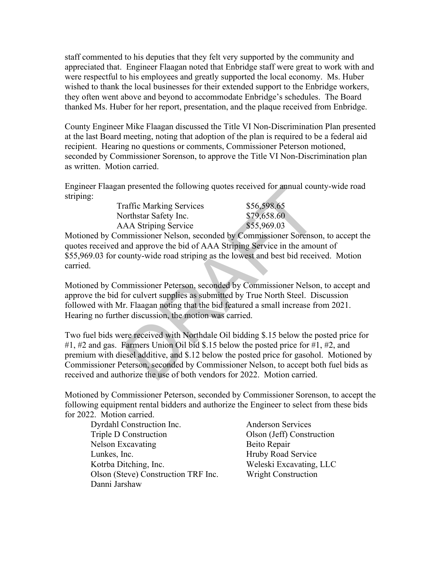staff commented to his deputies that they felt very supported by the community and appreciated that. Engineer Flaagan noted that Enbridge staff were great to work with and were respectful to his employees and greatly supported the local economy. Ms. Huber wished to thank the local businesses for their extended support to the Enbridge workers, they often went above and beyond to accommodate Enbridge's schedules. The Board thanked Ms. Huber for her report, presentation, and the plaque received from Enbridge.

County Engineer Mike Flaagan discussed the Title VI Non-Discrimination Plan presented at the last Board meeting, noting that adoption of the plan is required to be a federal aid recipient. Hearing no questions or comments, Commissioner Peterson motioned, seconded by Commissioner Sorenson, to approve the Title VI Non-Discrimination plan as written. Motion carried.

Engineer Flaagan presented the following quotes received for annual county-wide road striping:

| <b>Traffic Marking Services</b> | \$56,598.65 |
|---------------------------------|-------------|
| Northstar Safety Inc.           | \$79,658.60 |
| <b>AAA Striping Service</b>     | \$55,969.03 |

Motioned by Commissioner Nelson, seconded by Commissioner Sorenson, to accept the quotes received and approve the bid of AAA Striping Service in the amount of \$55,969.03 for county-wide road striping as the lowest and best bid received. Motion carried.

Motioned by Commissioner Peterson, seconded by Commissioner Nelson, to accept and approve the bid for culvert supplies as submitted by True North Steel. Discussion followed with Mr. Flaagan noting that the bid featured a small increase from 2021. Hearing no further discussion, the motion was carried.

Two fuel bids were received with Northdale Oil bidding \$.15 below the posted price for #1, #2 and gas. Farmers Union Oil bid \$.15 below the posted price for #1, #2, and premium with diesel additive, and \$.12 below the posted price for gasohol. Motioned by Commissioner Peterson, seconded by Commissioner Nelson, to accept both fuel bids as received and authorize the use of both vendors for 2022. Motion carried. 1 presented the following quotes received for annual cournaffic Marking Services<br>
S56,598.65<br>
orthstar Safety Inc.<br>
S79,658.60<br>
AA Striping Service<br>
S55,969.03<br>
mmissioner Nelson, seconded by Commissioner Sorenso<br>
and appr

Motioned by Commissioner Peterson, seconded by Commissioner Sorenson, to accept the following equipment rental bidders and authorize the Engineer to select from these bids for 2022. Motion carried.

Dyrdahl Construction Inc. Anderson Services Triple D Construction Olson (Jeff) Construction Nelson Excavating Beito Repair Lunkes, Inc. **Hruby Road Service** Kotrba Ditching, Inc. Weleski Excavating, LLC Olson (Steve) Construction TRF Inc. Wright Construction Danni Jarshaw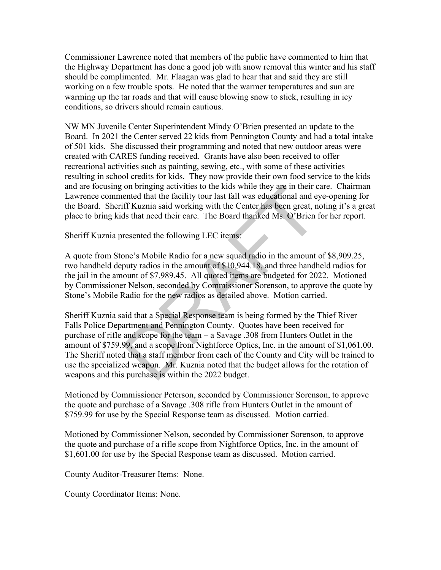Commissioner Lawrence noted that members of the public have commented to him that the Highway Department has done a good job with snow removal this winter and his staff should be complimented. Mr. Flaagan was glad to hear that and said they are still working on a few trouble spots. He noted that the warmer temperatures and sun are warming up the tar roads and that will cause blowing snow to stick, resulting in icy conditions, so drivers should remain cautious.

NW MN Juvenile Center Superintendent Mindy O'Brien presented an update to the Board. In 2021 the Center served 22 kids from Pennington County and had a total intake of 501 kids. She discussed their programming and noted that new outdoor areas were created with CARES funding received. Grants have also been received to offer recreational activities such as painting, sewing, etc., with some of these activities resulting in school credits for kids. They now provide their own food service to the kids and are focusing on bringing activities to the kids while they are in their care. Chairman Lawrence commented that the facility tour last fall was educational and eye-opening for the Board. Sheriff Kuznia said working with the Center has been great, noting it's a great place to bring kids that need their care. The Board thanked Ms. O'Brien for her report.

Sheriff Kuznia presented the following LEC items:

A quote from Stone's Mobile Radio for a new squad radio in the amount of \$8,909.25, two handheld deputy radios in the amount of \$10,944.18, and three handheld radios for the jail in the amount of \$7,989.45. All quoted items are budgeted for 2022. Motioned by Commissioner Nelson, seconded by Commissioner Sorenson, to approve the quote by Stone's Mobile Radio for the new radios as detailed above. Motion carried.

Sheriff Kuznia said that a Special Response team is being formed by the Thief River Falls Police Department and Pennington County. Quotes have been received for purchase of rifle and scope for the team – a Savage .308 from Hunters Outlet in the amount of \$759.99, and a scope from Nightforce Optics, Inc. in the amount of \$1,061.00. The Sheriff noted that a staff member from each of the County and City will be trained to use the specialized weapon. Mr. Kuznia noted that the budget allows for the rotation of weapons and this purchase is within the 2022 budget. on bringing activities to the kids while they are in their c<br>ented that the facility tour last fall was educational and esempted that the facility tour last fall was educational and esempted.<br>In this that need their care.

Motioned by Commissioner Peterson, seconded by Commissioner Sorenson, to approve the quote and purchase of a Savage .308 rifle from Hunters Outlet in the amount of \$759.99 for use by the Special Response team as discussed. Motion carried.

Motioned by Commissioner Nelson, seconded by Commissioner Sorenson, to approve the quote and purchase of a rifle scope from Nightforce Optics, Inc. in the amount of \$1,601.00 for use by the Special Response team as discussed. Motion carried.

County Auditor-Treasurer Items: None.

County Coordinator Items: None.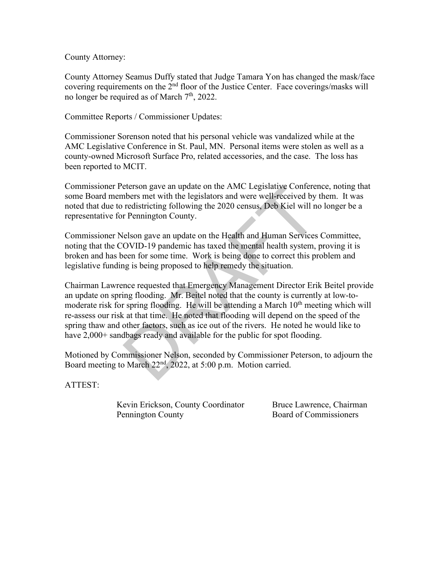County Attorney:

County Attorney Seamus Duffy stated that Judge Tamara Yon has changed the mask/face covering requirements on the 2<sup>nd</sup> floor of the Justice Center. Face coverings/masks will no longer be required as of March  $7<sup>th</sup>$ , 2022.

Committee Reports / Commissioner Updates:

Commissioner Sorenson noted that his personal vehicle was vandalized while at the AMC Legislative Conference in St. Paul, MN. Personal items were stolen as well as a county-owned Microsoft Surface Pro, related accessories, and the case. The loss has been reported to MCIT.

Commissioner Peterson gave an update on the AMC Legislative Conference, noting that some Board members met with the legislators and were well-received by them. It was noted that due to redistricting following the 2020 census, Deb Kiel will no longer be a representative for Pennington County.

Commissioner Nelson gave an update on the Health and Human Services Committee, noting that the COVID-19 pandemic has taxed the mental health system, proving it is broken and has been for some time. Work is being done to correct this problem and legislative funding is being proposed to help remedy the situation.

Chairman Lawrence requested that Emergency Management Director Erik Beitel provide an update on spring flooding. Mr. Beitel noted that the county is currently at low-tomoderate risk for spring flooding. He will be attending a March  $10<sup>th</sup>$  meeting which will re-assess our risk at that time. He noted that flooding will depend on the speed of the spring thaw and other factors, such as ice out of the rivers. He noted he would like to have 2,000+ sandbags ready and available for the public for spot flooding. eterson gave an update on the AMC Legislative Conterer<br>obers met with the legislators and were well-received by<br>redistricting following the 2020 census, Deb Kiel will no<br>r Pennington County.<br>lelson gave an update on the H

Motioned by Commissioner Nelson, seconded by Commissioner Peterson, to adjourn the Board meeting to March 22nd, 2022, at 5:00 p.m. Motion carried.

ATTEST:

Kevin Erickson, County Coordinator Bruce Lawrence, Chairman Pennington County Board of Commissioners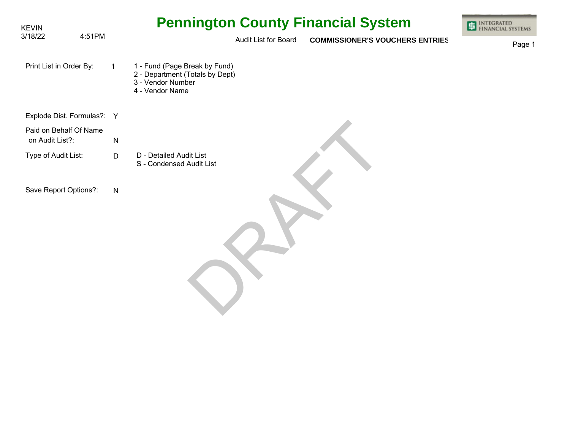| <b>KEVIN</b>                              |              | <b>Pennington County Financial System</b>                                                                | <b>INTEGRATED</b><br>FINANCIAL SYSTEMS |
|-------------------------------------------|--------------|----------------------------------------------------------------------------------------------------------|----------------------------------------|
| 3/18/22                                   | 4:51PM       | Audit List for Board<br><b>COMMISSIONER'S VOUCHERS ENTRIES</b>                                           | Page 1                                 |
| Print List in Order By:                   | $\mathbf{1}$ | 1 - Fund (Page Break by Fund)<br>2 - Department (Totals by Dept)<br>3 - Vendor Number<br>4 - Vendor Name |                                        |
| Explode Dist. Formulas?: Y                |              |                                                                                                          |                                        |
| Paid on Behalf Of Name<br>on Audit List?: | ${\sf N}$    |                                                                                                          |                                        |
| Type of Audit List:                       | D            | D - Detailed Audit List<br>S - Condensed Audit List                                                      |                                        |
| Save Report Options?:                     | $\mathsf{N}$ |                                                                                                          |                                        |
|                                           |              |                                                                                                          |                                        |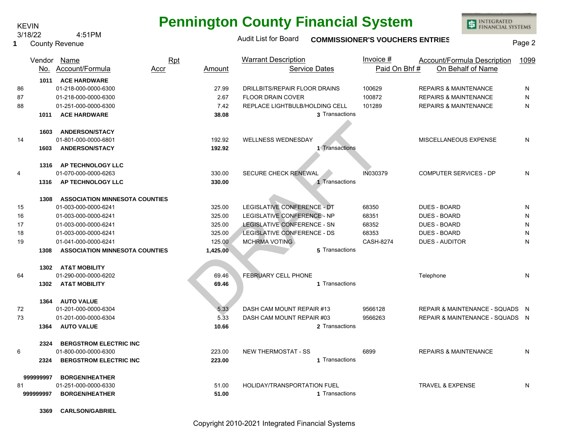County Revenue **1**

# **Pennington County Financial System**

INTEGRATED<br>FINANCIAL SYSTEMS

### Audit List for Board **COMMISSIONER'S VOUCHERS ENTRIES** Page 2

|                |           | Vendor Name<br>No. Account/Formula    | <b>Rpt</b><br><u>Accr</u> | Amount   | <b>Warrant Description</b><br><b>Service Dates</b> |                | Invoice $#$<br>Paid On Bhf# | <b>Account/Formula Description</b><br>On Behalf of Name | 1099      |
|----------------|-----------|---------------------------------------|---------------------------|----------|----------------------------------------------------|----------------|-----------------------------|---------------------------------------------------------|-----------|
|                |           | 1011 ACE HARDWARE                     |                           |          |                                                    |                |                             |                                                         |           |
| 86             |           | 01-218-000-0000-6300                  |                           | 27.99    | DRILLBITS/REPAIR FLOOR DRAINS                      |                | 100629                      | <b>REPAIRS &amp; MAINTENANCE</b>                        | N         |
| 87             |           | 01-218-000-0000-6300                  |                           | 2.67     | <b>FLOOR DRAIN COVER</b>                           |                | 100872<br>101289            | <b>REPAIRS &amp; MAINTENANCE</b>                        | N<br>N    |
| 88             |           | 01-251-000-0000-6300                  |                           | 7.42     | REPLACE LIGHTBULB/HOLDING CELL                     | 3 Transactions |                             | <b>REPAIRS &amp; MAINTENANCE</b>                        |           |
|                | 1011      | <b>ACE HARDWARE</b>                   |                           | 38.08    |                                                    |                |                             |                                                         |           |
|                | 1603      | <b>ANDERSON/STACY</b>                 |                           |          |                                                    |                |                             |                                                         |           |
| 14             |           | 01-801-000-0000-6801                  |                           | 192.92   | <b>WELLNESS WEDNESDAY</b>                          |                |                             | MISCELLANEOUS EXPENSE                                   | N         |
|                | 1603      | <b>ANDERSON/STACY</b>                 |                           | 192.92   |                                                    | 1 Transactions |                             |                                                         |           |
|                |           |                                       |                           |          |                                                    |                |                             |                                                         |           |
|                | 1316      | <b>AP TECHNOLOGY LLC</b>              |                           |          |                                                    |                |                             |                                                         |           |
| $\overline{4}$ |           | 01-070-000-0000-6263                  |                           | 330.00   | <b>SECURE CHECK RENEWAL</b>                        |                | IN030379                    | <b>COMPUTER SERVICES - DP</b>                           | N         |
|                | 1316      | AP TECHNOLOGY LLC                     |                           | 330.00   |                                                    | 1 Transactions |                             |                                                         |           |
|                |           |                                       |                           |          |                                                    |                |                             |                                                         |           |
|                | 1308      | <b>ASSOCIATION MINNESOTA COUNTIES</b> |                           |          |                                                    |                |                             |                                                         |           |
| 15             |           | 01-003-000-0000-6241                  |                           | 325.00   | LEGISLATIVE CONFERENCE - DT                        |                | 68350                       | <b>DUES - BOARD</b>                                     | N         |
| 16             |           | 01-003-000-0000-6241                  |                           | 325.00   | LEGISLATIVE CONFERENCE - NP                        |                | 68351                       | <b>DUES - BOARD</b>                                     | N         |
| 17             |           | 01-003-000-0000-6241                  |                           | 325.00   | <b>LEGISLATIVE CONFERENCE - SN</b>                 |                | 68352                       | <b>DUES - BOARD</b>                                     | ${\sf N}$ |
| 18             |           | 01-003-000-0000-6241                  |                           | 325.00   | <b>LEGISLATIVE CONFERENCE - DS</b>                 |                | 68353                       | <b>DUES - BOARD</b>                                     | N         |
| 19             |           | 01-041-000-0000-6241                  |                           | 125.00   | MCHRMA VOTING                                      |                | <b>CASH-8274</b>            | <b>DUES - AUDITOR</b>                                   | N         |
|                | 1308      | <b>ASSOCIATION MINNESOTA COUNTIES</b> |                           | 1,425.00 |                                                    | 5 Transactions |                             |                                                         |           |
|                | 1302      | <b>AT&amp;T MOBILITY</b>              |                           |          |                                                    |                |                             |                                                         |           |
| 64             |           | 01-290-000-0000-6202                  |                           | 69.46    | FEBRUARY CELL PHONE                                |                |                             | Telephone                                               | N         |
|                | 1302      | <b>AT&amp;T MOBILITY</b>              |                           | 69.46    |                                                    | 1 Transactions |                             |                                                         |           |
|                |           |                                       |                           |          |                                                    |                |                             |                                                         |           |
|                | 1364      | <b>AUTO VALUE</b>                     |                           |          |                                                    |                |                             |                                                         |           |
| 72             |           | 01-201-000-0000-6304                  |                           | 5.33     | DASH CAM MOUNT REPAIR #13                          |                | 9566128                     | REPAIR & MAINTENANCE - SQUADS N                         |           |
| 73             |           | 01-201-000-0000-6304                  |                           | 5.33     | DASH CAM MOUNT REPAIR #03                          |                | 9566263                     | REPAIR & MAINTENANCE - SQUADS N                         |           |
|                | 1364      | <b>AUTO VALUE</b>                     |                           | 10.66    |                                                    | 2 Transactions |                             |                                                         |           |
|                |           |                                       |                           |          |                                                    |                |                             |                                                         |           |
|                | 2324      | <b>BERGSTROM ELECTRIC INC</b>         |                           |          |                                                    |                |                             |                                                         |           |
| 6              |           | 01-800-000-0000-6300                  |                           | 223.00   | <b>NEW THERMOSTAT - SS</b>                         |                | 6899                        | <b>REPAIRS &amp; MAINTENANCE</b>                        | N         |
|                | 2324      | <b>BERGSTROM ELECTRIC INC</b>         |                           | 223.00   |                                                    | 1 Transactions |                             |                                                         |           |
|                | 999999997 | <b>BORGEN/HEATHER</b>                 |                           |          |                                                    |                |                             |                                                         |           |
| 81             |           | 01-251-000-0000-6330                  |                           | 51.00    | HOLIDAY/TRANSPORTATION FUEL                        |                |                             | <b>TRAVEL &amp; EXPENSE</b>                             | N         |
|                | 999999997 | <b>BORGEN/HEATHER</b>                 |                           | 51.00    |                                                    | 1 Transactions |                             |                                                         |           |
|                |           |                                       |                           |          |                                                    |                |                             |                                                         |           |

**3369 CARLSON/GABRIEL**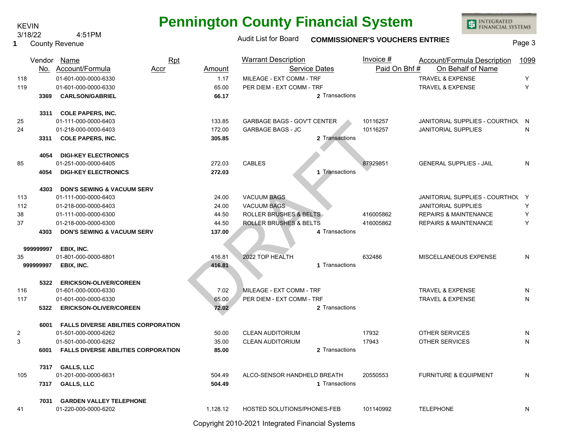County Revenue **1**

# **Pennington County Financial System**

INTEGRATED<br>FINANCIAL SYSTEMS

### Audit List for Board **COMMISSIONER'S VOUCHERS ENTRIES** Page 3

|                |           | Vendor Name<br>No. Account/Formula<br>Accr   | Rpt<br>Amount | <b>Warrant Description</b><br><b>Service Dates</b>    | Invoice #<br>Paid On Bhf# | Account/Formula Description<br>On Behalf of Name           | 1099   |
|----------------|-----------|----------------------------------------------|---------------|-------------------------------------------------------|---------------------------|------------------------------------------------------------|--------|
| 118<br>119     |           | 01-601-000-0000-6330<br>01-601-000-0000-6330 | 1.17<br>65.00 | MILEAGE - EXT COMM - TRF<br>PER DIEM - EXT COMM - TRF |                           | <b>TRAVEL &amp; EXPENSE</b><br><b>TRAVEL &amp; EXPENSE</b> | Y<br>Y |
|                | 3369      | <b>CARLSON/GABRIEL</b>                       | 66.17         | 2 Transactions                                        |                           |                                                            |        |
|                |           |                                              |               |                                                       |                           |                                                            |        |
|                | 3311      | <b>COLE PAPERS, INC.</b>                     |               |                                                       |                           |                                                            |        |
| 25             |           | 01-111-000-0000-6403                         | 133.85        | <b>GARBAGE BAGS - GOV'T CENTER</b>                    | 10116257                  | JANITORIAL SUPPLIES - COURTHOL                             | - N    |
| 24             |           | 01-218-000-0000-6403                         | 172.00        | <b>GARBAGE BAGS - JC</b>                              | 10116257                  | <b>JANITORIAL SUPPLIES</b>                                 | N      |
|                | 3311      | <b>COLE PAPERS, INC.</b>                     | 305.85        | 2 Transactions                                        |                           |                                                            |        |
|                | 4054      | <b>DIGI-KEY ELECTRONICS</b>                  |               |                                                       |                           |                                                            |        |
| 85             |           | 01-251-000-0000-6405                         | 272.03        | <b>CABLES</b>                                         | 87929851                  | <b>GENERAL SUPPLIES - JAIL</b>                             | N      |
|                | 4054      | <b>DIGI-KEY ELECTRONICS</b>                  | 272.03        | 1 Transactions                                        |                           |                                                            |        |
|                |           |                                              |               |                                                       |                           |                                                            |        |
|                | 4303      | <b>DON'S SEWING &amp; VACUUM SERV</b>        |               |                                                       |                           |                                                            |        |
| 113            |           | 01-111-000-0000-6403                         | 24.00         | <b>VACUUM BAGS</b>                                    |                           | JANITORIAL SUPPLIES - COURTHOL Y                           |        |
| 112            |           | 01-218-000-0000-6403                         | 24.00         | <b>VACUUM BAGS</b>                                    |                           | <b>JANITORIAL SUPPLIES</b>                                 | Y      |
| 38             |           | 01-111-000-0000-6300                         | 44.50         | <b>ROLLER BRUSHES &amp; BELTS</b>                     | 416005862                 | <b>REPAIRS &amp; MAINTENANCE</b>                           | Υ      |
| 37             |           | 01-218-000-0000-6300                         | 44.50         | ROLLER BRUSHES & BELTS                                | 416005862                 | <b>REPAIRS &amp; MAINTENANCE</b>                           | Y      |
|                | 4303      | <b>DON'S SEWING &amp; VACUUM SERV</b>        | 137.00        | 4 Transactions                                        |                           |                                                            |        |
|                | 999999997 | EBIX, INC.                                   |               |                                                       |                           |                                                            |        |
| 35             |           | 01-801-000-0000-6801                         | 416.81        | 2022 TOP HEALTH                                       | 632486                    | MISCELLANEOUS EXPENSE                                      | N      |
|                | 999999997 | EBIX, INC.                                   | 416.81        | 1 Transactions                                        |                           |                                                            |        |
|                |           |                                              |               |                                                       |                           |                                                            |        |
|                | 5322      | <b>ERICKSON-OLIVER/COREEN</b>                |               |                                                       |                           |                                                            |        |
| 116            |           | 01-601-000-0000-6330                         | 7.02          | MILEAGE - EXT COMM - TRF                              |                           | <b>TRAVEL &amp; EXPENSE</b>                                | N      |
| 117            |           | 01-601-000-0000-6330                         | 65.00         | PER DIEM - EXT COMM - TRF                             |                           | <b>TRAVEL &amp; EXPENSE</b>                                | N      |
|                | 5322      | <b>ERICKSON-OLIVER/COREEN</b>                | 72.02         | 2 Transactions                                        |                           |                                                            |        |
|                | 6001      | <b>FALLS DIVERSE ABILITIES CORPORATION</b>   |               |                                                       |                           |                                                            |        |
| $\overline{2}$ |           | 01-501-000-0000-6262                         | 50.00         | <b>CLEAN AUDITORIUM</b>                               | 17932                     | OTHER SERVICES                                             | N      |
| 3              |           | 01-501-000-0000-6262                         | 35.00         | <b>CLEAN AUDITORIUM</b>                               | 17943                     | <b>OTHER SERVICES</b>                                      | N      |
|                | 6001      | <b>FALLS DIVERSE ABILITIES CORPORATION</b>   | 85.00         | 2 Transactions                                        |                           |                                                            |        |
|                |           |                                              |               |                                                       |                           |                                                            |        |
|                |           | 7317 GALLS, LLC                              |               |                                                       |                           |                                                            |        |
| 105            |           | 01-201-000-0000-6631                         | 504.49        | ALCO-SENSOR HANDHELD BREATH                           | 20550553                  | <b>FURNITURE &amp; EQUIPMENT</b>                           | N      |
|                | 7317      | <b>GALLS, LLC</b>                            | 504.49        | 1 Transactions                                        |                           |                                                            |        |
|                | 7031      | <b>GARDEN VALLEY TELEPHONE</b>               |               |                                                       |                           |                                                            |        |
| 41             |           | 01-220-000-0000-6202                         | 1.128.12      | <b>HOSTED SOLUTIONS/PHONES-FEB</b>                    | 101140992                 | <b>TELEPHONE</b>                                           | N      |
|                |           |                                              |               |                                                       |                           |                                                            |        |

Copyright 2010-2021 Integrated Financial Systems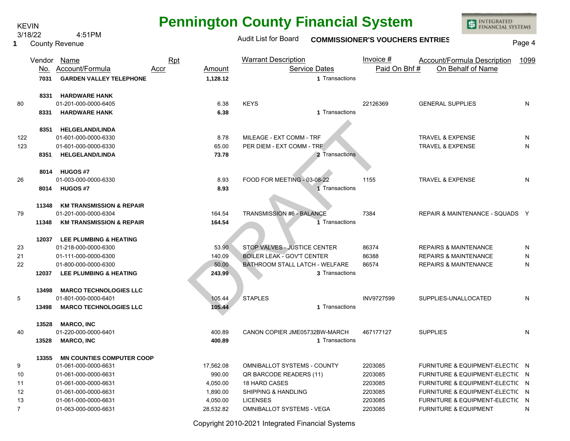| <b>Pennington County Financial System</b> |  |  |  |
|-------------------------------------------|--|--|--|
|-------------------------------------------|--|--|--|

3/18/22 4:51PM

KEVIN

INTEGRATED<br>FINANCIAL SYSTEMS

| 1              |       | ועו וויט.<br><b>County Revenue</b>                                   |                                                 | <b>Audit List for Board</b>        |                                        | <b>COMMISSIONER'S VOUCHERS ENTRIES</b> |                                                         | Page 4 |
|----------------|-------|----------------------------------------------------------------------|-------------------------------------------------|------------------------------------|----------------------------------------|----------------------------------------|---------------------------------------------------------|--------|
|                | 7031  | Vendor Name<br>No. Account/Formula<br><b>GARDEN VALLEY TELEPHONE</b> | <b>Rpt</b><br>Amount<br><u>Accr</u><br>1,128.12 | <b>Warrant Description</b>         | <b>Service Dates</b><br>1 Transactions | Invoice $#$<br>Paid On Bhf#            | <b>Account/Formula Description</b><br>On Behalf of Name | 1099   |
| 80             | 8331  | <b>HARDWARE HANK</b><br>01-201-000-0000-6405                         | 6.38                                            | <b>KEYS</b>                        |                                        | 22126369                               | <b>GENERAL SUPPLIES</b>                                 | N      |
|                | 8331  | <b>HARDWARE HANK</b>                                                 | 6.38                                            |                                    | 1 Transactions                         |                                        |                                                         |        |
|                | 8351  | <b>HELGELAND/LINDA</b>                                               |                                                 |                                    |                                        |                                        |                                                         |        |
| 122            |       | 01-601-000-0000-6330                                                 | 8.78                                            | MILEAGE - EXT COMM - TRF           |                                        |                                        | <b>TRAVEL &amp; EXPENSE</b>                             | N      |
| 123            |       | 01-601-000-0000-6330                                                 | 65.00                                           | PER DIEM - EXT COMM - TRF          |                                        |                                        | <b>TRAVEL &amp; EXPENSE</b>                             | N      |
|                | 8351  | <b>HELGELAND/LINDA</b>                                               | 73.78                                           |                                    | 2 Transactions                         |                                        |                                                         |        |
|                |       | 8014 HUGOS #7                                                        |                                                 |                                    |                                        |                                        |                                                         |        |
| 26             |       | 01-003-000-0000-6330                                                 | 8.93                                            | FOOD FOR MEETING - 03-08-22        |                                        | 1155                                   | <b>TRAVEL &amp; EXPENSE</b>                             | N      |
|                | 8014  | <b>HUGOS#7</b>                                                       | 8.93                                            |                                    | 1 Transactions                         |                                        |                                                         |        |
|                | 11348 | <b>KM TRANSMISSION &amp; REPAIR</b>                                  |                                                 |                                    |                                        |                                        |                                                         |        |
| 79             |       | 01-201-000-0000-6304                                                 | 164.54                                          | <b>TRANSMISSION #6 - BALANCE</b>   |                                        | 7384                                   | REPAIR & MAINTENANCE - SQUADS Y                         |        |
|                | 11348 | <b>KM TRANSMISSION &amp; REPAIR</b>                                  | 164.54                                          |                                    | 1 Transactions                         |                                        |                                                         |        |
|                |       | 12037 LEE PLUMBING & HEATING                                         |                                                 |                                    |                                        |                                        |                                                         |        |
| 23             |       | 01-218-000-0000-6300                                                 | 53.90                                           | STOP VALVES - JUSTICE CENTER       |                                        | 86374                                  | <b>REPAIRS &amp; MAINTENANCE</b>                        | N      |
| 21             |       | 01-111-000-0000-6300                                                 | 140.09                                          | <b>BOILER LEAK - GOV'T CENTER</b>  |                                        | 86388                                  | <b>REPAIRS &amp; MAINTENANCE</b>                        | N      |
| 22             |       | 01-800-000-0000-6300                                                 | 50.00                                           | BATHROOM STALL LATCH - WELFARE     |                                        | 86574                                  | <b>REPAIRS &amp; MAINTENANCE</b>                        | N      |
|                | 12037 | <b>LEE PLUMBING &amp; HEATING</b>                                    | 243.99                                          |                                    | 3 Transactions                         |                                        |                                                         |        |
|                | 13498 | <b>MARCO TECHNOLOGIES LLC</b>                                        |                                                 |                                    |                                        |                                        |                                                         |        |
| 5              |       | 01-801-000-0000-6401                                                 | 105.44                                          | <b>STAPLES</b>                     |                                        | INV9727599                             | SUPPLIES-UNALLOCATED                                    | N      |
|                | 13498 | <b>MARCO TECHNOLOGIES LLC</b>                                        | 105.44                                          |                                    | 1 Transactions                         |                                        |                                                         |        |
|                | 13528 | <b>MARCO, INC</b>                                                    |                                                 |                                    |                                        |                                        |                                                         |        |
| 40             |       | 01-220-000-0000-6401                                                 | 400.89                                          | CANON COPIER JME05732BW-MARCH      |                                        | 467177127                              | <b>SUPPLIES</b>                                         | N      |
|                | 13528 | <b>MARCO, INC</b>                                                    | 400.89                                          |                                    | 1 Transactions                         |                                        |                                                         |        |
|                | 13355 | <b>MN COUNTIES COMPUTER COOP</b>                                     |                                                 |                                    |                                        |                                        |                                                         |        |
| 9              |       | 01-061-000-0000-6631                                                 | 17,562.08                                       | <b>OMNIBALLOT SYSTEMS - COUNTY</b> |                                        | 2203085                                | FURNITURE & EQUIPMENT-ELECTIC N                         |        |
| 10             |       | 01-061-000-0000-6631                                                 | 990.00                                          | QR BARCODE READERS (11)            |                                        | 2203085                                | FURNITURE & EQUIPMENT-ELECTIC N                         |        |
| 11             |       | 01-061-000-0000-6631                                                 | 4,050.00                                        | <b>18 HARD CASES</b>               |                                        | 2203085                                | FURNITURE & EQUIPMENT-ELECTIC N                         |        |
| 12             |       | 01-061-000-0000-6631                                                 | 1,890.00                                        | SHIPPING & HANDLING                |                                        | 2203085                                | FURNITURE & EQUIPMENT-ELECTIC N                         |        |
| 13             |       | 01-061-000-0000-6631                                                 | 4,050.00                                        | <b>LICENSES</b>                    |                                        | 2203085                                | FURNITURE & EQUIPMENT-ELECTIC N                         |        |
| $\overline{7}$ |       | 01-063-000-0000-6631                                                 | 28,532.82                                       | <b>OMNIBALLOT SYSTEMS - VEGA</b>   |                                        | 2203085                                | <b>FURNITURE &amp; EQUIPMENT</b>                        | N      |

Copyright 2010-2021 Integrated Financial Systems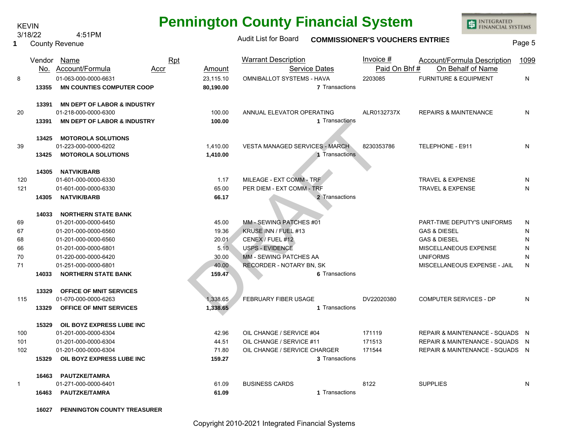| <b>KEVIN</b> |         |                                                   |            |           | Pennington County Financial System    |                       |                                        | <b>INTERNATED</b><br>FINANCIAL SYSTEMS |        |
|--------------|---------|---------------------------------------------------|------------|-----------|---------------------------------------|-----------------------|----------------------------------------|----------------------------------------|--------|
|              | 3/18/22 | 4:51PM                                            |            |           | Audit List for Board                  |                       |                                        |                                        |        |
|              |         | <b>County Revenue</b>                             |            |           |                                       |                       | <b>COMMISSIONER'S VOUCHERS ENTRIES</b> |                                        | Page 5 |
|              |         |                                                   |            |           |                                       |                       |                                        |                                        |        |
|              |         | Vendor Name                                       | <b>Rpt</b> |           | <b>Warrant Description</b>            |                       | Invoice $#$                            | Account/Formula Description            | 1099   |
|              |         | No. Account/Formula                               | Accr       | Amount    |                                       | <b>Service Dates</b>  | Paid On Bhf#                           | On Behalf of Name                      |        |
| 8            |         | 01-063-000-0000-6631                              |            | 23,115.10 | OMNIBALLOT SYSTEMS - HAVA             |                       | 2203085                                | <b>FURNITURE &amp; EQUIPMENT</b>       | N      |
|              | 13355   | <b>MN COUNTIES COMPUTER COOP</b>                  |            | 80,190.00 |                                       | <b>7</b> Transactions |                                        |                                        |        |
|              | 13391   | <b>MN DEPT OF LABOR &amp; INDUSTRY</b>            |            |           |                                       |                       |                                        |                                        |        |
| 20           |         | 01-218-000-0000-6300                              |            | 100.00    | ANNUAL ELEVATOR OPERATING             |                       | ALR0132737X                            | <b>REPAIRS &amp; MAINTENANCE</b>       | N      |
|              | 13391   | <b>MN DEPT OF LABOR &amp; INDUSTRY</b>            |            | 100.00    |                                       | 1 Transactions        |                                        |                                        |        |
|              |         |                                                   |            |           |                                       |                       |                                        |                                        |        |
|              | 13425   | <b>MOTOROLA SOLUTIONS</b>                         |            |           |                                       |                       |                                        |                                        |        |
| 39           |         | 01-223-000-0000-6202                              |            | 1,410.00  | <b>VESTA MANAGED SERVICES - MARCH</b> |                       | 8230353786                             | TELEPHONE - E911                       | N      |
|              | 13425   | <b>MOTOROLA SOLUTIONS</b>                         |            | 1,410.00  |                                       | 1 Transactions        |                                        |                                        |        |
|              |         |                                                   |            |           |                                       |                       |                                        |                                        |        |
|              | 14305   | <b>NATVIK/BARB</b>                                |            |           |                                       |                       |                                        |                                        |        |
| 120          |         | 01-601-000-0000-6330                              |            | 1.17      | MILEAGE - EXT COMM - TRF              |                       |                                        | <b>TRAVEL &amp; EXPENSE</b>            | N      |
| 121          |         | 01-601-000-0000-6330                              |            | 65.00     | PER DIEM - EXT COMM - TRF             |                       |                                        | <b>TRAVEL &amp; EXPENSE</b>            | N      |
|              | 14305   | <b>NATVIK/BARB</b>                                |            | 66.17     |                                       | 2 Transactions        |                                        |                                        |        |
|              |         |                                                   |            |           |                                       |                       |                                        |                                        |        |
|              | 14033   | <b>NORTHERN STATE BANK</b>                        |            |           |                                       |                       |                                        |                                        |        |
| 69           |         | 01-201-000-0000-6450                              |            | 45.00     | MM - SEWING PATCHES #01               |                       |                                        | PART-TIME DEPUTY'S UNIFORMS            | N      |
| 67           |         | 01-201-000-0000-6560                              |            | 19.36     | KRUSE INN / FUEL #13                  |                       |                                        | <b>GAS &amp; DIESEL</b>                | N      |
| 68           |         | 01-201-000-0000-6560                              |            | 20.01     | CENEX / FUEL #12                      |                       |                                        | <b>GAS &amp; DIESEL</b>                | N      |
| 66           |         | 01-201-000-0000-6801                              |            | 5.10      | <b>USPS - EVIDENCE</b>                |                       |                                        | MISCELLANEOUS EXPENSE                  | N      |
| 70           |         | 01-220-000-0000-6420                              |            | 30.00     | MM - SEWING PATCHES AA                |                       |                                        | <b>UNIFORMS</b>                        | N      |
| 71           |         | 01-251-000-0000-6801                              |            | 40.00     | RECORDER - NOTARY BN, SK              | 6 Transactions        |                                        | MISCELLANEOUS EXPENSE - JAIL           | N      |
|              | 14033   | <b>NORTHERN STATE BANK</b>                        |            | 159.47    |                                       |                       |                                        |                                        |        |
|              | 13329   | <b>OFFICE OF MNIT SERVICES</b>                    |            |           |                                       |                       |                                        |                                        |        |
| 115          |         | 01-070-000-0000-6263                              |            | 1,338.65  | FEBRUARY FIBER USAGE                  |                       | DV22020380                             | <b>COMPUTER SERVICES - DP</b>          | N      |
|              | 13329   | <b>OFFICE OF MNIT SERVICES</b>                    |            | 1,338.65  |                                       | 1 Transactions        |                                        |                                        |        |
|              | 15329   |                                                   |            |           |                                       |                       |                                        |                                        |        |
| 100          |         | OIL BOYZ EXPRESS LUBE INC<br>01-201-000-0000-6304 |            | 42.96     | OIL CHANGE / SERVICE #04              |                       | 171119                                 | REPAIR & MAINTENANCE - SQUADS N        |        |
| 101          |         | 01-201-000-0000-6304                              |            | 44.51     | OIL CHANGE / SERVICE #11              |                       | 171513                                 | REPAIR & MAINTENANCE - SQUADS N        |        |
| 102          |         | 01-201-000-0000-6304                              |            | 71.80     | OIL CHANGE / SERVICE CHARGER          |                       | 171544                                 | REPAIR & MAINTENANCE - SQUADS N        |        |
|              | 15329   | OIL BOYZ EXPRESS LUBE INC                         |            | 159.27    |                                       | 3 Transactions        |                                        |                                        |        |
|              |         |                                                   |            |           |                                       |                       |                                        |                                        |        |
|              | 16463   | <b>PAUTZKE/TAMRA</b>                              |            |           |                                       |                       |                                        |                                        |        |
| $\mathbf{1}$ |         | 01-271-000-0000-6401                              |            | 61.09     | <b>BUSINESS CARDS</b>                 |                       | 8122                                   | <b>SUPPLIES</b>                        | N      |
|              | 16463   | <b>PAUTZKE/TAMRA</b>                              |            | 61.09     |                                       | 1 Transactions        |                                        |                                        |        |

**Pennington County Financial System**

**ED INTEGRATED**<br>FINANCIAL SYSTEMS

**16027 PENNINGTON COUNTY TREASURER**

**1**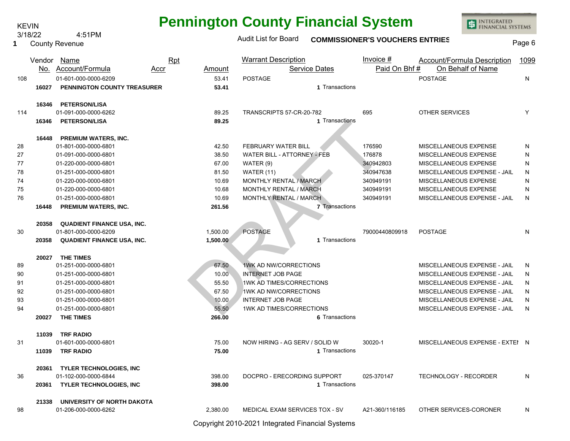| <b>Pennington County Financial System</b> |  |  |  |  |
|-------------------------------------------|--|--|--|--|
|-------------------------------------------|--|--|--|--|

**ED INTEGRATED**<br>FINANCIAL SYSTEMS

| 1   | <u>JI IUIZZ</u> | ועו וויט. <del>ד</del><br><b>County Revenue</b> |                | <b>Audit List for Board</b>        |                       | <b>COMMISSIONER'S VOUCHERS ENTRIES</b> |                                    | Page 6 |
|-----|-----------------|-------------------------------------------------|----------------|------------------------------------|-----------------------|----------------------------------------|------------------------------------|--------|
|     | Vendor          | Name                                            | <b>Rpt</b>     | <b>Warrant Description</b>         |                       | Invoice $#$                            | <b>Account/Formula Description</b> | 1099   |
|     | No.             | Account/Formula                                 | Amount<br>Accr |                                    | <b>Service Dates</b>  | Paid On Bhf#                           | On Behalf of Name                  |        |
| 108 |                 | 01-601-000-0000-6209                            | 53.41          | <b>POSTAGE</b>                     |                       |                                        | <b>POSTAGE</b>                     | N      |
|     | 16027           | <b>PENNINGTON COUNTY TREASURER</b>              | 53.41          |                                    | 1 Transactions        |                                        |                                    |        |
|     | 16346           | <b>PETERSON/LISA</b>                            |                |                                    |                       |                                        |                                    |        |
| 114 |                 | 01-091-000-0000-6262                            | 89.25          | TRANSCRIPTS 57-CR-20-782           |                       | 695                                    | <b>OTHER SERVICES</b>              | Y      |
|     | 16346           | <b>PETERSON/LISA</b>                            | 89.25          |                                    | 1 Transactions        |                                        |                                    |        |
|     | 16448           | PREMIUM WATERS, INC.                            |                |                                    |                       |                                        |                                    |        |
| 28  |                 | 01-801-000-0000-6801                            | 42.50          | FEBRUARY WATER BILL                |                       | 176590                                 | MISCELLANEOUS EXPENSE              | N      |
| 27  |                 | 01-091-000-0000-6801                            | 38.50          | <b>WATER BILL - ATTORNEY - FEB</b> |                       | 176878                                 | MISCELLANEOUS EXPENSE              | N      |
| 77  |                 | 01-220-000-0000-6801                            | 67.00          | WATER $(9)$                        |                       | 340942803                              | MISCELLANEOUS EXPENSE              | N      |
| 78  |                 | 01-251-000-0000-6801                            | 81.50          | <b>WATER (11)</b>                  |                       | 340947638                              | MISCELLANEOUS EXPENSE - JAIL       | N      |
| 74  |                 | 01-220-000-0000-6801                            | 10.69          | MONTHLY RENTAL / MARCH             |                       | 340949191                              | MISCELLANEOUS EXPENSE              | N      |
| 75  |                 | 01-220-000-0000-6801                            | 10.68          | MONTHLY RENTAL / MARCH             |                       | 340949191                              | MISCELLANEOUS EXPENSE              | N      |
| 76  |                 | 01-251-000-0000-6801                            | 10.69          | MONTHLY RENTAL / MARCH             |                       | 340949191                              | MISCELLANEOUS EXPENSE - JAIL       | N      |
|     | 16448           | PREMIUM WATERS, INC.                            | 261.56         |                                    | <b>7 Transactions</b> |                                        |                                    |        |
|     | 20358           | <b>QUADIENT FINANCE USA, INC.</b>               |                |                                    |                       |                                        |                                    |        |
| 30  |                 | 01-801-000-0000-6209                            | 1,500.00       | <b>POSTAGE</b>                     |                       | 79000440809918                         | <b>POSTAGE</b>                     | N      |
|     | 20358           | <b>QUADIENT FINANCE USA, INC.</b>               | 1,500.00       |                                    | 1 Transactions        |                                        |                                    |        |
|     | 20027           | <b>THE TIMES</b>                                |                |                                    |                       |                                        |                                    |        |
| 89  |                 | 01-251-000-0000-6801                            | 67.50          | 1WK AD NW/CORRECTIONS              |                       |                                        | MISCELLANEOUS EXPENSE - JAIL       | N      |
| 90  |                 | 01-251-000-0000-6801                            | 10.00          | INTERNET JOB PAGE                  |                       |                                        | MISCELLANEOUS EXPENSE - JAIL       | N      |
| 91  |                 | 01-251-000-0000-6801                            | 55.50          | 1WK AD TIMES/CORRECTIONS           |                       |                                        | MISCELLANEOUS EXPENSE - JAIL       | N      |
| 92  |                 | 01-251-000-0000-6801                            | 67.50          | 1WK AD NW/CORRECTIONS              |                       |                                        | MISCELLANEOUS EXPENSE - JAIL       | N      |
| 93  |                 | 01-251-000-0000-6801                            | 10.00          | <b>INTERNET JOB PAGE</b>           |                       |                                        | MISCELLANEOUS EXPENSE - JAIL       | N      |
| 94  |                 | 01-251-000-0000-6801                            | 55.50          | 1WK AD TIMES/CORRECTIONS           |                       |                                        | MISCELLANEOUS EXPENSE - JAIL       | N      |
|     | 20027           | THE TIMES                                       | 266.00         |                                    | 6 Transactions        |                                        |                                    |        |
|     | 11039           | <b>TRF RADIO</b>                                |                |                                    |                       |                                        |                                    |        |
| 31  |                 | 01-601-000-0000-6801                            | 75.00          | NOW HIRING - AG SERV / SOLID W     |                       | 30020-1                                | MISCELLANEOUS EXPENSE - EXTEI N    |        |
|     | 11039           | <b>TRF RADIO</b>                                | 75.00          |                                    | 1 Transactions        |                                        |                                    |        |
|     |                 | 20361 TYLER TECHNOLOGIES, INC                   |                |                                    |                       |                                        |                                    |        |
| 36  |                 | 01-102-000-0000-6844                            | 398.00         | DOCPRO - ERECORDING SUPPORT        |                       | 025-370147                             | <b>TECHNOLOGY - RECORDER</b>       | N      |
|     | 20361           | <b>TYLER TECHNOLOGIES, INC</b>                  | 398.00         |                                    | 1 Transactions        |                                        |                                    |        |
|     | 21338           | UNIVERSITY OF NORTH DAKOTA                      |                |                                    |                       |                                        |                                    |        |
| 98  |                 | 01-206-000-0000-6262                            | 2.380.00       | MEDICAL EXAM SERVICES TOX - SV     |                       | A21-360/116185                         | OTHER SERVICES-CORONER             | N      |

Copyright 2010-2021 Integrated Financial Systems

3/18/22 4:51PM KEVIN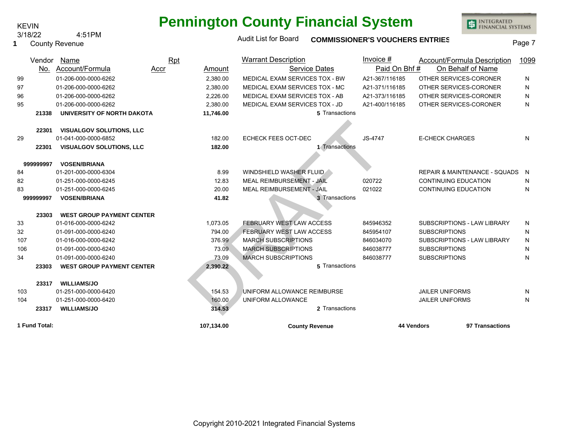# **Pennington County Financial System**

INTEGRATED<br>FINANCIAL SYSTEMS

| JI 10122<br>7. JII IVI<br><b>County Revenue</b><br>1 |               |                                  |             |               | <b>Audit List for Board</b>     | <b>COMMISSIONER'S VOUCHERS ENTRIES</b> |                                          | Page 7    |
|------------------------------------------------------|---------------|----------------------------------|-------------|---------------|---------------------------------|----------------------------------------|------------------------------------------|-----------|
|                                                      | Vendor        | <b>Name</b>                      | <b>Rpt</b>  |               | <b>Warrant Description</b>      | Invoice $#$                            | Account/Formula Description              | 1099      |
|                                                      | No.           | Account/Formula                  | <u>Accr</u> | <b>Amount</b> | <b>Service Dates</b>            | Paid On Bhf#                           | On Behalf of Name                        |           |
| 99                                                   |               | 01-206-000-0000-6262             |             | 2,380.00      | MEDICAL EXAM SERVICES TOX - BW  | A21-367/116185                         | OTHER SERVICES-CORONER                   | N         |
| 97                                                   |               | 01-206-000-0000-6262             |             | 2,380.00      | MEDICAL EXAM SERVICES TOX - MC  | A21-371/116185                         | OTHER SERVICES-CORONER                   | N         |
| 96                                                   |               | 01-206-000-0000-6262             |             | 2,226.00      | MEDICAL EXAM SERVICES TOX - AB  | A21-373/116185                         | OTHER SERVICES-CORONER                   | N         |
| 95                                                   |               | 01-206-000-0000-6262             |             | 2.380.00      | MEDICAL EXAM SERVICES TOX - JD  | A21-400/116185                         | OTHER SERVICES-CORONER                   | N         |
|                                                      | 21338         | UNIVERSITY OF NORTH DAKOTA       |             | 11,746.00     | 5 Transactions                  |                                        |                                          |           |
|                                                      |               |                                  |             |               |                                 |                                        |                                          |           |
|                                                      | 22301         | <b>VISUALGOV SOLUTIONS, LLC</b>  |             |               |                                 |                                        |                                          |           |
| 29                                                   |               | 01-041-000-0000-6852             |             | 182.00        | ECHECK FEES OCT-DEC             | JS-4747                                | <b>E-CHECK CHARGES</b>                   | N         |
|                                                      | 22301         | <b>VISUALGOV SOLUTIONS, LLC</b>  |             | 182.00        | 1 Transactions                  |                                        |                                          |           |
|                                                      |               |                                  |             |               |                                 |                                        |                                          |           |
|                                                      | 999999997     | <b>VOSEN/BRIANA</b>              |             |               |                                 |                                        |                                          |           |
| 84                                                   |               | 01-201-000-0000-6304             |             | 8.99          | WINDSHIELD WASHER FLUID         |                                        | <b>REPAIR &amp; MAINTENANCE - SQUADS</b> | N         |
| 82                                                   |               | 01-251-000-0000-6245             |             | 12.83         | MEAL REIMBURSEMENT - JAIL       | 020722                                 | <b>CONTINUING EDUCATION</b>              | N         |
| 83                                                   |               | 01-251-000-0000-6245             |             | 20.00         | MEAL REIMBURSEMENT - JAIL       | 021022                                 | <b>CONTINUING EDUCATION</b>              | N         |
|                                                      | 999999997     | <b>VOSEN/BRIANA</b>              |             | 41.82         | 3 Transactions                  |                                        |                                          |           |
|                                                      | 23303         | <b>WEST GROUP PAYMENT CENTER</b> |             |               |                                 |                                        |                                          |           |
| 33                                                   |               | 01-016-000-0000-6242             |             | 1,073.05      | <b>FEBRUARY WEST LAW ACCESS</b> | 845946352                              | SUBSCRIPTIONS - LAW LIBRARY              | N         |
| 32                                                   |               | 01-091-000-0000-6240             |             | 794.00        | FEBRUARY WEST LAW ACCESS        | 845954107                              | <b>SUBSCRIPTIONS</b>                     | N         |
| 107                                                  |               | 01-016-000-0000-6242             |             | 376.99        | <b>MARCH SUBSCRIPTIONS</b>      | 846034070                              | SUBSCRIPTIONS - LAW LIBRARY              | ${\sf N}$ |
| 106                                                  |               | 01-091-000-0000-6240             |             | 73.09         | <b>MARCH SUBSCRIPTIONS</b>      | 846038777                              | <b>SUBSCRIPTIONS</b>                     | N         |
| 34                                                   |               | 01-091-000-0000-6240             |             | 73.09         | <b>MARCH SUBSCRIPTIONS</b>      | 846038777                              | <b>SUBSCRIPTIONS</b>                     | N         |
|                                                      | 23303         | <b>WEST GROUP PAYMENT CENTER</b> |             | 2,390.22      | 5 Transactions                  |                                        |                                          |           |
|                                                      | 23317         | <b>WILLIAMS/JO</b>               |             |               |                                 |                                        |                                          |           |
| 103                                                  |               | 01-251-000-0000-6420             |             | 154.53        | UNIFORM ALLOWANCE REIMBURSE     |                                        | <b>JAILER UNIFORMS</b>                   | N         |
| 104                                                  |               | 01-251-000-0000-6420             |             | 160.00        | UNIFORM ALLOWANCE               |                                        | <b>JAILER UNIFORMS</b>                   | N         |
|                                                      | 23317         | <b>WILLIAMS/JO</b>               |             | 314.53        | 2 Transactions                  |                                        |                                          |           |
|                                                      | 1 Fund Total: |                                  |             | 107,134.00    | <b>County Revenue</b>           | 44 Vendors                             | 97 Transactions                          |           |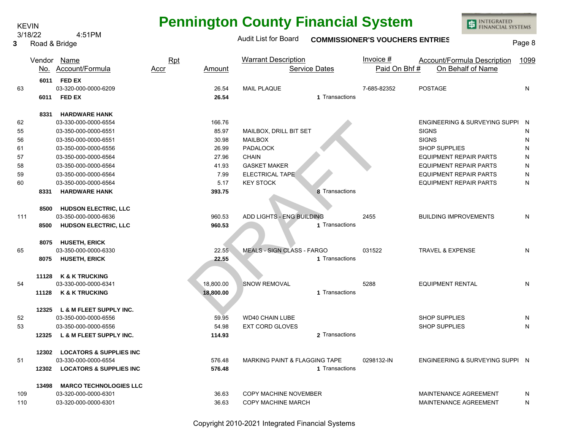#### Road & Bridge **3**

# **Pennington County Financial System**

INTEGRATED<br>FINANCIAL SYSTEMS

# Audit List for Board **COMMISSIONER'S VOUCHERS ENTRIES** Page 8

|     |       | Vendor Name                        | <b>Rpt</b> |           | <b>Warrant Description</b>               | Invoice $#$  | <b>Account/Formula Description</b> | 1099      |
|-----|-------|------------------------------------|------------|-----------|------------------------------------------|--------------|------------------------------------|-----------|
|     |       | No. Account/Formula                | Accr       | Amount    | <b>Service Dates</b>                     | Paid On Bhf# | On Behalf of Name                  |           |
|     |       | 6011 FED EX                        |            |           |                                          |              |                                    |           |
| 63  |       | 03-320-000-0000-6209               |            | 26.54     | <b>MAIL PLAQUE</b>                       | 7-685-82352  | <b>POSTAGE</b>                     | N         |
|     |       | 6011 FED EX                        |            | 26.54     | 1 Transactions                           |              |                                    |           |
|     | 8331  | <b>HARDWARE HANK</b>               |            |           |                                          |              |                                    |           |
| 62  |       | 03-330-000-0000-6554               |            | 166.76    |                                          |              | ENGINEERING & SURVEYING SUPPI N    |           |
| 55  |       | 03-350-000-0000-6551               |            | 85.97     | MAILBOX, DRILL BIT SET                   |              | <b>SIGNS</b>                       | N         |
| 56  |       | 03-350-000-0000-6551               |            | 30.98     | <b>MAILBOX</b>                           |              | <b>SIGNS</b>                       | N         |
| 61  |       | 03-350-000-0000-6556               |            | 26.99     | <b>PADALOCK</b>                          |              | <b>SHOP SUPPLIES</b>               | N         |
| 57  |       | 03-350-000-0000-6564               |            | 27.96     | <b>CHAIN</b>                             |              | <b>EQUIPMENT REPAIR PARTS</b>      | N         |
| 58  |       | 03-350-000-0000-6564               |            | 41.93     | <b>GASKET MAKER</b>                      |              | <b>EQUIPMENT REPAIR PARTS</b>      | ${\sf N}$ |
| 59  |       | 03-350-000-0000-6564               |            | 7.99      | ELECTRICAL TAPE                          |              | <b>EQUIPMENT REPAIR PARTS</b>      | ${\sf N}$ |
| 60  |       | 03-350-000-0000-6564               |            | 5.17      | <b>KEY STOCK</b>                         |              | <b>EQUIPMENT REPAIR PARTS</b>      | ${\sf N}$ |
|     | 8331  | <b>HARDWARE HANK</b>               |            | 393.75    | 8 Transactions                           |              |                                    |           |
|     | 8500  | <b>HUDSON ELECTRIC, LLC</b>        |            |           |                                          |              |                                    |           |
| 111 |       | 03-350-000-0000-6636               |            | 960.53    | ADD LIGHTS - ENG BUILDING                | 2455         | <b>BUILDING IMPROVEMENTS</b>       | N         |
|     | 8500  | <b>HUDSON ELECTRIC, LLC</b>        |            | 960.53    | 1 Transactions                           |              |                                    |           |
|     | 8075  | <b>HUSETH, ERICK</b>               |            |           |                                          |              |                                    |           |
| 65  |       | 03-350-000-0000-6330               |            | 22.55     | <b>MEALS - SIGN CLASS - FARGO</b>        | 031522       | TRAVEL & EXPENSE                   | N         |
|     | 8075  | <b>HUSETH, ERICK</b>               |            | 22.55     | 1 Transactions                           |              |                                    |           |
|     | 11128 | <b>K &amp; K TRUCKING</b>          |            |           |                                          |              |                                    |           |
| 54  |       | 03-330-000-0000-6341               |            | 18,800.00 | <b>SNOW REMOVAL</b>                      | 5288         | <b>EQUIPMENT RENTAL</b>            | N         |
|     |       | 11128 K & K TRUCKING               |            | 18,800.00 | 1 Transactions                           |              |                                    |           |
|     | 12325 | L & M FLEET SUPPLY INC.            |            |           |                                          |              |                                    |           |
| 52  |       | 03-350-000-0000-6556               |            | 59.95     | <b>WD40 CHAIN LUBE</b>                   |              | SHOP SUPPLIES                      | N         |
| 53  |       | 03-350-000-0000-6556               |            | 54.98     | <b>EXT CORD GLOVES</b>                   |              | <b>SHOP SUPPLIES</b>               | N         |
|     | 12325 | L & M FLEET SUPPLY INC.            |            | 114.93    | 2 Transactions                           |              |                                    |           |
|     | 12302 | <b>LOCATORS &amp; SUPPLIES INC</b> |            |           |                                          |              |                                    |           |
| 51  |       | 03-330-000-0000-6554               |            | 576.48    | <b>MARKING PAINT &amp; FLAGGING TAPE</b> | 0298132-IN   | ENGINEERING & SURVEYING SUPPI N    |           |
|     | 12302 | <b>LOCATORS &amp; SUPPLIES INC</b> |            | 576.48    | 1 Transactions                           |              |                                    |           |
|     | 13498 | <b>MARCO TECHNOLOGIES LLC</b>      |            |           |                                          |              |                                    |           |
| 109 |       | 03-320-000-0000-6301               |            | 36.63     | COPY MACHINE NOVEMBER                    |              | MAINTENANCE AGREEMENT              | N         |
| 110 |       | 03-320-000-0000-6301               |            | 36.63     | COPY MACHINE MARCH                       |              | MAINTENANCE AGREEMENT              | N         |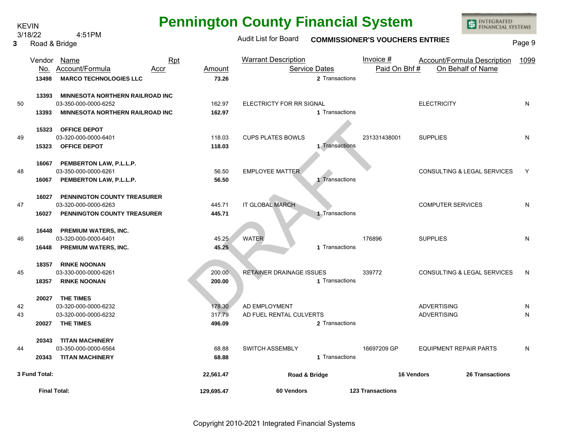# **Pennington County Financial System**

3/18/22 4:51PM

KEVIN

**3**

INTEGRATED<br>FINANCIAL SYSTEMS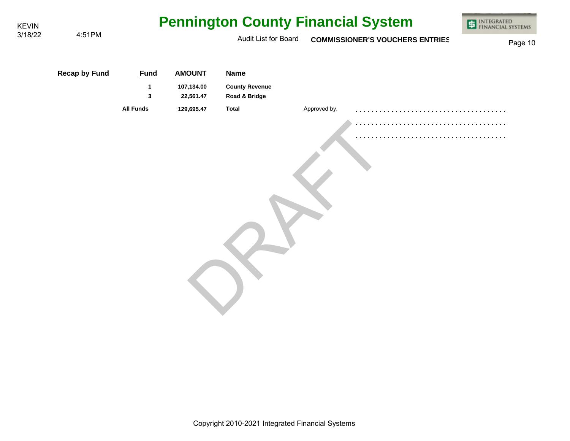| <b>KEVIN</b> |                      | <b>Pennington County Financial System</b> | INTEGRATED<br>FINANCIAL SYSTEMS<br>¢ |                                        |              |                                        |         |
|--------------|----------------------|-------------------------------------------|--------------------------------------|----------------------------------------|--------------|----------------------------------------|---------|
| 3/18/22      | 4:51PM               |                                           |                                      | Audit List for Board                   |              | <b>COMMISSIONER'S VOUCHERS ENTRIES</b> | Page 10 |
|              | <b>Recap by Fund</b> | <b>Fund</b>                               | <b>AMOUNT</b>                        | <b>Name</b>                            |              |                                        |         |
|              |                      | $\mathbf 1$<br>3                          | 107,134.00<br>22,561.47              | <b>County Revenue</b><br>Road & Bridge |              |                                        |         |
|              |                      | <b>All Funds</b>                          | 129,695.47                           | <b>Total</b>                           | Approved by, | .                                      |         |
|              |                      |                                           |                                      |                                        |              |                                        |         |
|              |                      |                                           |                                      |                                        |              |                                        |         |